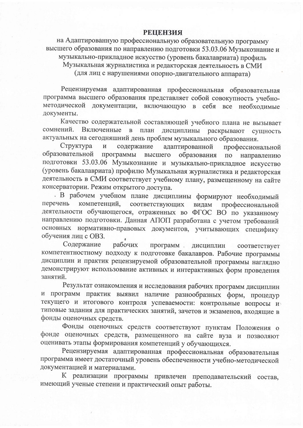## **РЕЦЕНЗИЯ**

на Адаптированную профессиональную образовательную программу высшего образования по направлению подготовки 53.03.06 Музыкознание и музыкально-прикладное искусство (уровень бакалавриата) профиль Музыкальная журналистика и редакторская деятельность в СМИ (для лиц с нарушениями опорно-двигательного аппарата)

Рецензируемая адаптированная профессиональная образовательная программа высшего образования представляет собой совокупность учебнометодической документации, включающую в себя все необходимые документы.

Качество содержательной составляющей учебного плана не вызывает сомнений. Включенные в план дисциплины раскрывают сущность актуальных на сегодняшний день проблем музыкального образования.

Структура  $\overline{\mathbf{M}}$ содержание адаптированной профессиональной образовательной программы образования высшего по направлению подготовки 53.03.06 Музыкознание и музыкально-прикладное искусство (уровень бакалавриата) профилю Музыкальная журналистика и редакторская деятельность в СМИ соответствует учебному плану, размещенному на сайте консерватории. Режим открытого доступа.

В рабочем учебном плане дисциплины формируют необходимый компетенций, соответствующих перечень видам профессиональной деятельности обучающегося, отраженных во ФГОС ВО по указанному направлению подготовки. Данная АПОП разработана с учетом требований основных нормативно-правовых документов, учитывающих специфику обучения лиц с OB3.

Содержание программ дисциплин рабочих соответствует компетентностному подходу к подготовке бакалавров. Рабочие программы дисциплин и практик рецензируемой образовательной программы наглядно демонстрируют использование активных и интерактивных форм проведения занятий.

Результат ознакомления и исследования рабочих программ дисциплин и программ практик выявил наличие разнообразных форм, процедур текущего и итогового контроля успеваемости: контрольные вопросы и типовые задания для практических занятий, зачетов и экзаменов, входящие в фонды оценочных средств.

Фонды оценочных средств соответствуют пунктам Положения о фонде оценочных средств, размещенного на сайте вуза и позволяют оценивать этапы формирования компетенций у обучающихся.

Рецензируемая адаптированная профессиональная образовательная программа имеет достаточный уровень обеспеченности учебно-методической документацией и материалами.

К реализации программы привлечен преподавательский состав, имеющий ученые степени и практический опыт работы.